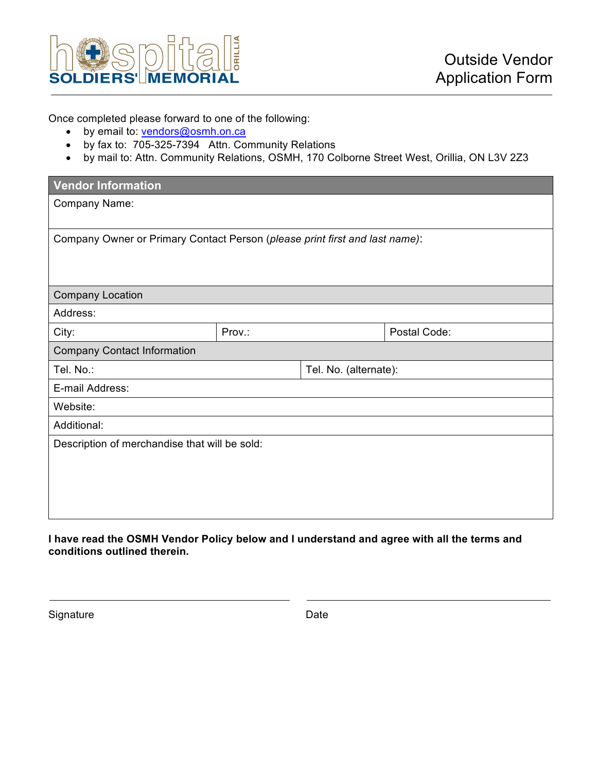

Once completed please forward to one of the following:

- by email to: vendors@osmh.on.ca
- by fax to: 705-325-7394 Attn. Community Relations
- by mail to: Attn. Community Relations, OSMH, 170 Colborne Street West, Orillia, ON L3V 2Z3

| <b>Vendor Information</b>                                                   |        |  |                       |  |
|-----------------------------------------------------------------------------|--------|--|-----------------------|--|
| Company Name:                                                               |        |  |                       |  |
|                                                                             |        |  |                       |  |
| Company Owner or Primary Contact Person (please print first and last name): |        |  |                       |  |
|                                                                             |        |  |                       |  |
| <b>Company Location</b>                                                     |        |  |                       |  |
|                                                                             |        |  |                       |  |
| Address:                                                                    |        |  |                       |  |
| City:                                                                       | Prov.: |  | Postal Code:          |  |
| <b>Company Contact Information</b>                                          |        |  |                       |  |
| Tel. No.:                                                                   |        |  | Tel. No. (alternate): |  |
| E-mail Address:                                                             |        |  |                       |  |
| Website:                                                                    |        |  |                       |  |
| Additional:                                                                 |        |  |                       |  |
| Description of merchandise that will be sold:                               |        |  |                       |  |
|                                                                             |        |  |                       |  |
|                                                                             |        |  |                       |  |
|                                                                             |        |  |                       |  |
|                                                                             |        |  |                       |  |

**I have read the OSMH Vendor Policy below and I understand and agree with all the terms and conditions outlined therein.** 

Signature Date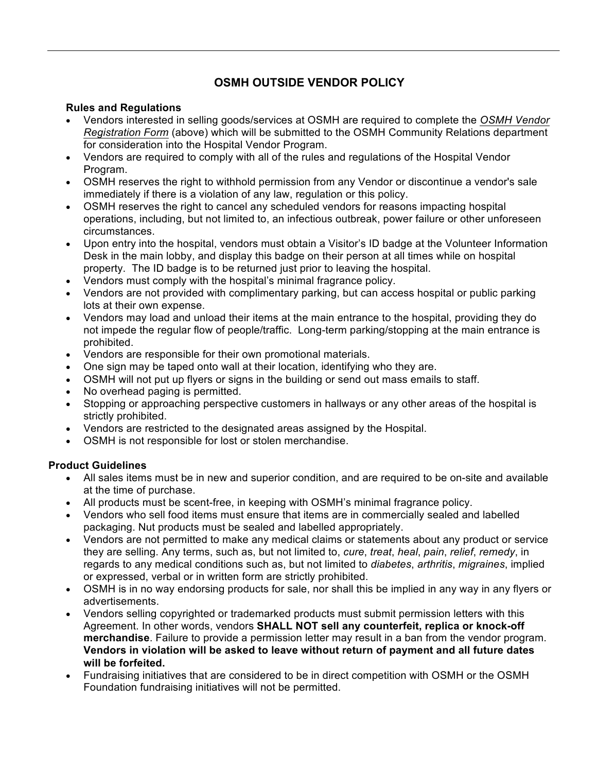# **OSMH OUTSIDE VENDOR POLICY**

#### **Rules and Regulations**

- Vendors interested in selling goods/services at OSMH are required to complete the *OSMH Vendor Registration Form* (above) which will be submitted to the OSMH Community Relations department for consideration into the Hospital Vendor Program.
- Vendors are required to comply with all of the rules and regulations of the Hospital Vendor Program.
- OSMH reserves the right to withhold permission from any Vendor or discontinue a vendor's sale immediately if there is a violation of any law, regulation or this policy.
- OSMH reserves the right to cancel any scheduled vendors for reasons impacting hospital operations, including, but not limited to, an infectious outbreak, power failure or other unforeseen circumstances.
- Upon entry into the hospital, vendors must obtain a Visitor's ID badge at the Volunteer Information Desk in the main lobby, and display this badge on their person at all times while on hospital property. The ID badge is to be returned just prior to leaving the hospital.
- Vendors must comply with the hospital's minimal fragrance policy.
- Vendors are not provided with complimentary parking, but can access hospital or public parking lots at their own expense.
- Vendors may load and unload their items at the main entrance to the hospital, providing they do not impede the regular flow of people/traffic. Long-term parking/stopping at the main entrance is prohibited.
- Vendors are responsible for their own promotional materials.
- One sign may be taped onto wall at their location, identifying who they are.
- OSMH will not put up flyers or signs in the building or send out mass emails to staff.
- No overhead paging is permitted.
- Stopping or approaching perspective customers in hallways or any other areas of the hospital is strictly prohibited.
- Vendors are restricted to the designated areas assigned by the Hospital.
- OSMH is not responsible for lost or stolen merchandise.

## **Product Guidelines**

- All sales items must be in new and superior condition, and are required to be on-site and available at the time of purchase.
- All products must be scent-free, in keeping with OSMH's minimal fragrance policy.
- Vendors who sell food items must ensure that items are in commercially sealed and labelled packaging. Nut products must be sealed and labelled appropriately.
- Vendors are not permitted to make any medical claims or statements about any product or service they are selling. Any terms, such as, but not limited to, *cure*, *treat*, *heal*, *pain*, *relief*, *remedy*, in regards to any medical conditions such as, but not limited to *diabetes*, *arthritis*, *migraines*, implied or expressed, verbal or in written form are strictly prohibited.
- OSMH is in no way endorsing products for sale, nor shall this be implied in any way in any flyers or advertisements.
- Vendors selling copyrighted or trademarked products must submit permission letters with this Agreement. In other words, vendors **SHALL NOT sell any counterfeit, replica or knock-off merchandise**. Failure to provide a permission letter may result in a ban from the vendor program. **Vendors in violation will be asked to leave without return of payment and all future dates will be forfeited.**
- Fundraising initiatives that are considered to be in direct competition with OSMH or the OSMH Foundation fundraising initiatives will not be permitted.